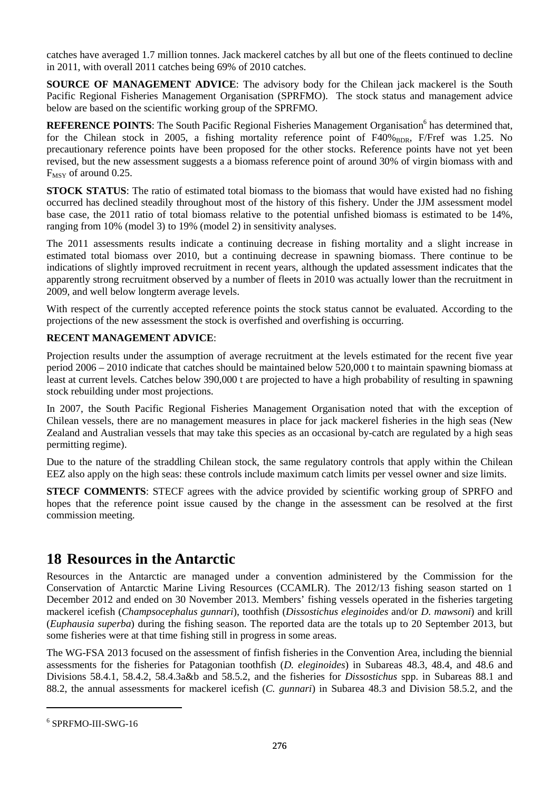catches have averaged 1.7 million tonnes. Jack mackerel catches by all but one of the fleets continued to decline in 2011, with overall 2011 catches being 69% of 2010 catches.

**SOURCE OF MANAGEMENT ADVICE**: The advisory body for the Chilean jack mackerel is the South Pacific Regional Fisheries Management Organisation (SPRFMO). The stock status and management advice below are based on the scientific working group of the SPRFMO.

REFERENCE POINTS: The South Pacific Regional Fisheries Management Organisation<sup>6</sup> has determined that, for the Chilean stock in 2005, a fishing mortality reference point of F40%BDR, F/Fref was 1.25. No precautionary reference points have been proposed for the other stocks. Reference points have not yet been revised, but the new assessment suggests a a biomass reference point of around 30% of virgin biomass with and  $F_{MSY}$  of around 0.25.

**STOCK STATUS**: The ratio of estimated total biomass to the biomass that would have existed had no fishing occurred has declined steadily throughout most of the history of this fishery. Under the JJM assessment model base case, the 2011 ratio of total biomass relative to the potential unfished biomass is estimated to be 14%, ranging from 10% (model 3) to 19% (model 2) in sensitivity analyses.

The 2011 assessments results indicate a continuing decrease in fishing mortality and a slight increase in estimated total biomass over 2010, but a continuing decrease in spawning biomass. There continue to be indications of slightly improved recruitment in recent years, although the updated assessment indicates that the apparently strong recruitment observed by a number of fleets in 2010 was actually lower than the recruitment in 2009, and well below longterm average levels.

With respect of the currently accepted reference points the stock status cannot be evaluated. According to the projections of the new assessment the stock is overfished and overfishing is occurring.

#### **RECENT MANAGEMENT ADVICE**:

Projection results under the assumption of average recruitment at the levels estimated for the recent five year period 2006 – 2010 indicate that catches should be maintained below 520,000 t to maintain spawning biomass at least at current levels. Catches below 390,000 t are projected to have a high probability of resulting in spawning stock rebuilding under most projections.

In 2007, the South Pacific Regional Fisheries Management Organisation noted that with the exception of Chilean vessels, there are no management measures in place for jack mackerel fisheries in the high seas (New Zealand and Australian vessels that may take this species as an occasional by-catch are regulated by a high seas permitting regime).

Due to the nature of the straddling Chilean stock, the same regulatory controls that apply within the Chilean EEZ also apply on the high seas: these controls include maximum catch limits per vessel owner and size limits.

**STECF COMMENTS**: STECF agrees with the advice provided by scientific working group of SPRFO and hopes that the reference point issue caused by the change in the assessment can be resolved at the first commission meeting.

# **18 Resources in the Antarctic**

Resources in the Antarctic are managed under a convention administered by the Commission for the Conservation of Antarctic Marine Living Resources (CCAMLR). The 2012/13 fishing season started on 1 December 2012 and ended on 30 November 2013. Members' fishing vessels operated in the fisheries targeting mackerel icefish (*Champsocephalus gunnari*), toothfish (*Dissostichus eleginoides* and/or *D. mawsoni*) and krill (*Euphausia superba*) during the fishing season. The reported data are the totals up to 20 September 2013, but some fisheries were at that time fishing still in progress in some areas.

The WG-FSA 2013 focused on the assessment of finfish fisheries in the Convention Area, including the biennial assessments for the fisheries for Patagonian toothfish (*D. eleginoides*) in Subareas 48.3, 48.4, and 48.6 and Divisions 58.4.1, 58.4.2, 58.4.3a&b and 58.5.2, and the fisheries for *Dissostichus* spp. in Subareas 88.1 and 88.2, the annual assessments for mackerel icefish (*C. gunnari*) in Subarea 48.3 and Division 58.5.2, and the

 $\overline{a}$ 

<sup>6</sup> SPRFMO-III-SWG-16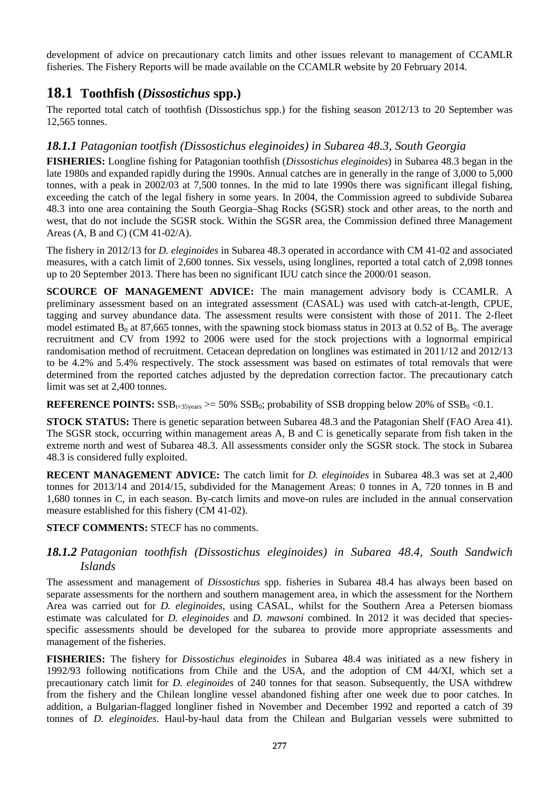development of advice on precautionary catch limits and other issues relevant to management of CCAMLR fisheries. The Fishery Reports will be made available on the CCAMLR website by 20 February 2014.

# **18.1 Toothfish (***Dissostichus* **spp.)**

The reported total catch of toothfish (Dissostichus spp.) for the fishing season 2012/13 to 20 September was 12,565 tonnes.

### *18.1.1 Patagonian tootfish (Dissostichus eleginoides) in Subarea 48.3, South Georgia*

**FISHERIES:** Longline fishing for Patagonian toothfish (*Dissostichus eleginoides*) in Subarea 48.3 began in the late 1980s and expanded rapidly during the 1990s. Annual catches are in generally in the range of 3,000 to 5,000 tonnes, with a peak in 2002/03 at 7,500 tonnes. In the mid to late 1990s there was significant illegal fishing, exceeding the catch of the legal fishery in some years. In 2004, the Commission agreed to subdivide Subarea 48.3 into one area containing the South Georgia–Shag Rocks (SGSR) stock and other areas, to the north and west, that do not include the SGSR stock. Within the SGSR area, the Commission defined three Management Areas (A, B and C) (CM 41-02/A).

The fishery in 2012/13 for *D. eleginoides* in Subarea 48.3 operated in accordance with CM 41-02 and associated measures, with a catch limit of 2,600 tonnes. Six vessels, using longlines, reported a total catch of 2,098 tonnes up to 20 September 2013. There has been no significant IUU catch since the 2000/01 season.

**SCOURCE OF MANAGEMENT ADVICE:** The main management advisory body is CCAMLR. A preliminary assessment based on an integrated assessment (CASAL) was used with catch-at-length, CPUE, tagging and survey abundance data. The assessment results were consistent with those of 2011. The 2-fleet model estimated  $B_0$  at 87,665 tonnes, with the spawning stock biomass status in 2013 at 0.52 of  $B_0$ . The average recruitment and CV from 1992 to 2006 were used for the stock projections with a lognormal empirical randomisation method of recruitment. Cetacean depredation on longlines was estimated in 2011/12 and 2012/13 to be 4.2% and 5.4% respectively. The stock assessment was based on estimates of total removals that were determined from the reported catches adjusted by the depredation correction factor. The precautionary catch limit was set at 2,400 tonnes.

**REFERENCE POINTS:**  $SSB_{t+35 \text{years}} \ge 50\%$   $SSB_0$ ; probability of SSB dropping below 20% of  $SSB_0 \le 0.1$ .

**STOCK STATUS:** There is genetic separation between Subarea 48.3 and the Patagonian Shelf (FAO Area 41). The SGSR stock, occurring within management areas A, B and C is genetically separate from fish taken in the extreme north and west of Subarea 48.3. All assessments consider only the SGSR stock. The stock in Subarea 48.3 is considered fully exploited.

**RECENT MANAGEMENT ADVICE:** The catch limit for *D. eleginoides* in Subarea 48.3 was set at 2,400 tonnes for 2013/14 and 2014/15, subdivided for the Management Areas: 0 tonnes in A, 720 tonnes in B and 1,680 tonnes in C, in each season. By-catch limits and move-on rules are included in the annual conservation measure established for this fishery (CM 41-02).

**STECF COMMENTS: STECF has no comments.** 

### *18.1.2 Patagonian toothfish (Dissostichus eleginoides) in Subarea 48.4, South Sandwich Islands*

The assessment and management of *Dissostichus* spp. fisheries in Subarea 48.4 has always been based on separate assessments for the northern and southern management area, in which the assessment for the Northern Area was carried out for *D. eleginoides*, using CASAL, whilst for the Southern Area a Petersen biomass estimate was calculated for *D. eleginoides* and *D. mawsoni* combined. In 2012 it was decided that speciesspecific assessments should be developed for the subarea to provide more appropriate assessments and management of the fisheries.

**FISHERIES:** The fishery for *Dissostichus eleginoides* in Subarea 48.4 was initiated as a new fishery in 1992/93 following notifications from Chile and the USA, and the adoption of CM 44/XI, which set a precautionary catch limit for *D. eleginoides* of 240 tonnes for that season. Subsequently, the USA withdrew from the fishery and the Chilean longline vessel abandoned fishing after one week due to poor catches. In addition, a Bulgarian-flagged longliner fished in November and December 1992 and reported a catch of 39 tonnes of *D. eleginoides*. Haul-by-haul data from the Chilean and Bulgarian vessels were submitted to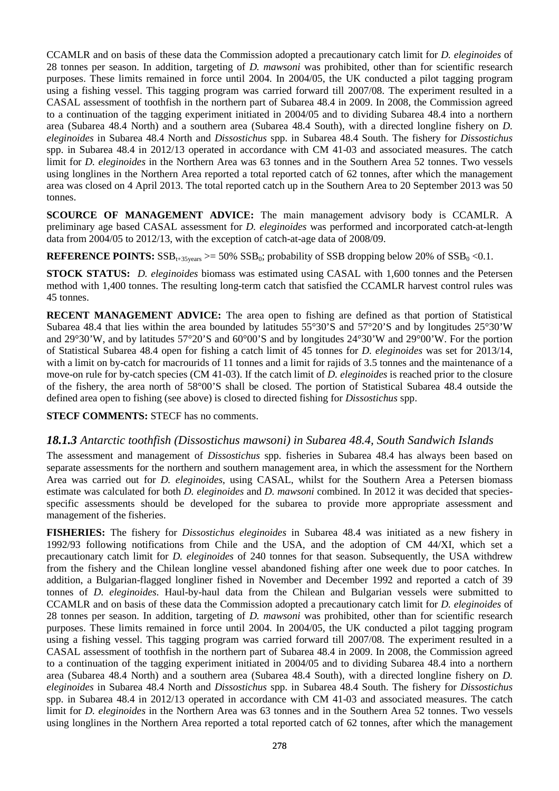CCAMLR and on basis of these data the Commission adopted a precautionary catch limit for *D. eleginoides* of 28 tonnes per season. In addition, targeting of *D. mawsoni* was prohibited, other than for scientific research purposes. These limits remained in force until 2004. In 2004/05, the UK conducted a pilot tagging program using a fishing vessel. This tagging program was carried forward till 2007/08. The experiment resulted in a CASAL assessment of toothfish in the northern part of Subarea 48.4 in 2009. In 2008, the Commission agreed to a continuation of the tagging experiment initiated in 2004/05 and to dividing Subarea 48.4 into a northern area (Subarea 48.4 North) and a southern area (Subarea 48.4 South), with a directed longline fishery on *D. eleginoides* in Subarea 48.4 North and *Dissostichus* spp. in Subarea 48.4 South. The fishery for *Dissostichus* spp. in Subarea 48.4 in 2012/13 operated in accordance with CM 41-03 and associated measures. The catch limit for *D. eleginoides* in the Northern Area was 63 tonnes and in the Southern Area 52 tonnes. Two vessels using longlines in the Northern Area reported a total reported catch of 62 tonnes, after which the management area was closed on 4 April 2013. The total reported catch up in the Southern Area to 20 September 2013 was 50 tonnes.

**SCOURCE OF MANAGEMENT ADVICE:** The main management advisory body is CCAMLR. A preliminary age based CASAL assessment for *D. eleginoides* was performed and incorporated catch-at-length data from 2004/05 to 2012/13, with the exception of catch-at-age data of 2008/09.

**REFERENCE POINTS:**  $SSB_{t+35 \text{years}} \ge 50\%$   $SSB_0$ ; probability of SSB dropping below 20% of  $SSB_0 \le 0.1$ .

**STOCK STATUS:** *D. eleginoides* biomass was estimated using CASAL with 1,600 tonnes and the Petersen method with 1,400 tonnes. The resulting long-term catch that satisfied the CCAMLR harvest control rules was 45 tonnes.

**RECENT MANAGEMENT ADVICE:** The area open to fishing are defined as that portion of Statistical Subarea 48.4 that lies within the area bounded by latitudes 55°30'S and 57°20'S and by longitudes 25°30'W and 29°30'W, and by latitudes 57°20'S and 60°00'S and by longitudes 24°30'W and 29°00'W. For the portion of Statistical Subarea 48.4 open for fishing a catch limit of 45 tonnes for *D. eleginoides* was set for 2013/14, with a limit on by-catch for macrourids of 11 tonnes and a limit for rajids of 3.5 tonnes and the maintenance of a move-on rule for by-catch species (CM 41-03). If the catch limit of *D. eleginoides* is reached prior to the closure of the fishery, the area north of 58°00'S shall be closed. The portion of Statistical Subarea 48.4 outside the defined area open to fishing (see above) is closed to directed fishing for *Dissostichus* spp.

**STECF COMMENTS: STECF has no comments.** 

#### *18.1.3 Antarctic toothfish (Dissostichus mawsoni) in Subarea 48.4, South Sandwich Islands*

The assessment and management of *Dissostichus* spp. fisheries in Subarea 48.4 has always been based on separate assessments for the northern and southern management area, in which the assessment for the Northern Area was carried out for *D. eleginoides*, using CASAL, whilst for the Southern Area a Petersen biomass estimate was calculated for both *D. eleginoides* and *D. mawsoni* combined. In 2012 it was decided that speciesspecific assessments should be developed for the subarea to provide more appropriate assessment and management of the fisheries.

**FISHERIES:** The fishery for *Dissostichus eleginoides* in Subarea 48.4 was initiated as a new fishery in 1992/93 following notifications from Chile and the USA, and the adoption of CM 44/XI, which set a precautionary catch limit for *D. eleginoides* of 240 tonnes for that season. Subsequently, the USA withdrew from the fishery and the Chilean longline vessel abandoned fishing after one week due to poor catches. In addition, a Bulgarian-flagged longliner fished in November and December 1992 and reported a catch of 39 tonnes of *D. eleginoides*. Haul-by-haul data from the Chilean and Bulgarian vessels were submitted to CCAMLR and on basis of these data the Commission adopted a precautionary catch limit for *D. eleginoides* of 28 tonnes per season. In addition, targeting of *D. mawsoni* was prohibited, other than for scientific research purposes. These limits remained in force until 2004. In 2004/05, the UK conducted a pilot tagging program using a fishing vessel. This tagging program was carried forward till 2007/08. The experiment resulted in a CASAL assessment of toothfish in the northern part of Subarea 48.4 in 2009. In 2008, the Commission agreed to a continuation of the tagging experiment initiated in 2004/05 and to dividing Subarea 48.4 into a northern area (Subarea 48.4 North) and a southern area (Subarea 48.4 South), with a directed longline fishery on *D. eleginoides* in Subarea 48.4 North and *Dissostichus* spp. in Subarea 48.4 South. The fishery for *Dissostichus* spp. in Subarea 48.4 in 2012/13 operated in accordance with CM 41-03 and associated measures. The catch limit for *D. eleginoides* in the Northern Area was 63 tonnes and in the Southern Area 52 tonnes. Two vessels using longlines in the Northern Area reported a total reported catch of 62 tonnes, after which the management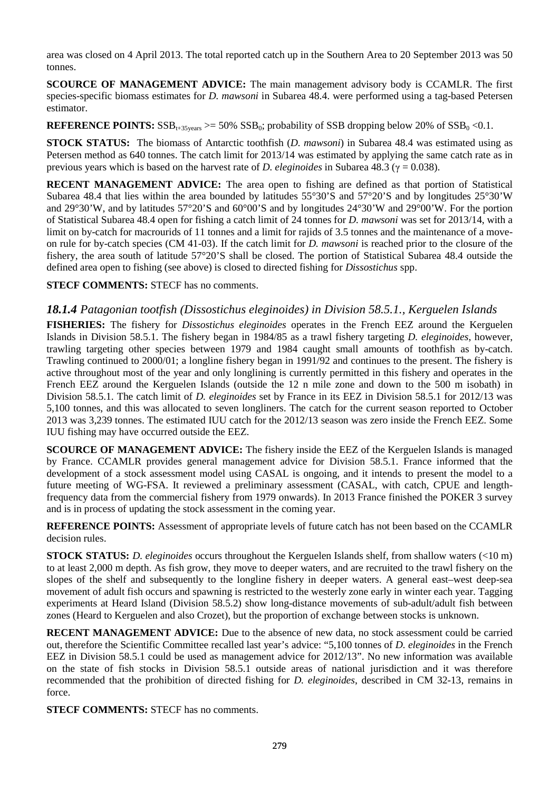area was closed on 4 April 2013. The total reported catch up in the Southern Area to 20 September 2013 was 50 tonnes.

**SCOURCE OF MANAGEMENT ADVICE:** The main management advisory body is CCAMLR. The first species-specific biomass estimates for *D. mawsoni* in Subarea 48.4. were performed using a tag-based Petersen estimator.

**REFERENCE POINTS:**  $SSB_{t+35 \text{years}} \ge 50\%$   $SSB_0$ ; probability of SSB dropping below 20% of  $SSB_0 \le 0.1$ .

**STOCK STATUS:** The biomass of Antarctic toothfish (*D. mawsoni*) in Subarea 48.4 was estimated using as Petersen method as 640 tonnes. The catch limit for 2013/14 was estimated by applying the same catch rate as in previous years which is based on the harvest rate of *D. eleginoides* in Subarea 48.3 (γ = 0.038).

**RECENT MANAGEMENT ADVICE:** The area open to fishing are defined as that portion of Statistical Subarea 48.4 that lies within the area bounded by latitudes 55°30'S and 57°20'S and by longitudes 25°30'W and 29°30'W, and by latitudes 57°20'S and 60°00'S and by longitudes 24°30'W and 29°00'W. For the portion of Statistical Subarea 48.4 open for fishing a catch limit of 24 tonnes for *D. mawsoni* was set for 2013/14, with a limit on by-catch for macrourids of 11 tonnes and a limit for rajids of 3.5 tonnes and the maintenance of a moveon rule for by-catch species (CM 41-03). If the catch limit for *D. mawsoni* is reached prior to the closure of the fishery, the area south of latitude 57°20'S shall be closed. The portion of Statistical Subarea 48.4 outside the defined area open to fishing (see above) is closed to directed fishing for *Dissostichus* spp.

**STECF COMMENTS:** STECF has no comments.

### *18.1.4 Patagonian tootfish (Dissostichus eleginoides) in Division 58.5.1., Kerguelen Islands*

**FISHERIES:** The fishery for *Dissostichus eleginoides* operates in the French EEZ around the Kerguelen Islands in Division 58.5.1. The fishery began in 1984/85 as a trawl fishery targeting *D. eleginoides*, however, trawling targeting other species between 1979 and 1984 caught small amounts of toothfish as by-catch. Trawling continued to 2000/01; a longline fishery began in 1991/92 and continues to the present. The fishery is active throughout most of the year and only longlining is currently permitted in this fishery and operates in the French EEZ around the Kerguelen Islands (outside the 12 n mile zone and down to the 500 m isobath) in Division 58.5.1. The catch limit of *D. eleginoides* set by France in its EEZ in Division 58.5.1 for 2012/13 was 5,100 tonnes, and this was allocated to seven longliners. The catch for the current season reported to October 2013 was 3,239 tonnes. The estimated IUU catch for the 2012/13 season was zero inside the French EEZ. Some IUU fishing may have occurred outside the EEZ.

**SCOURCE OF MANAGEMENT ADVICE:** The fishery inside the EEZ of the Kerguelen Islands is managed by France. CCAMLR provides general management advice for Division 58.5.1. France informed that the development of a stock assessment model using CASAL is ongoing, and it intends to present the model to a future meeting of WG-FSA. It reviewed a preliminary assessment (CASAL, with catch, CPUE and lengthfrequency data from the commercial fishery from 1979 onwards). In 2013 France finished the POKER 3 survey and is in process of updating the stock assessment in the coming year.

**REFERENCE POINTS:** Assessment of appropriate levels of future catch has not been based on the CCAMLR decision rules.

**STOCK STATUS:** *D. eleginoides* occurs throughout the Kerguelen Islands shelf, from shallow waters (<10 m) to at least 2,000 m depth. As fish grow, they move to deeper waters, and are recruited to the trawl fishery on the slopes of the shelf and subsequently to the longline fishery in deeper waters. A general east–west deep-sea movement of adult fish occurs and spawning is restricted to the westerly zone early in winter each year. Tagging experiments at Heard Island (Division 58.5.2) show long-distance movements of sub-adult/adult fish between zones (Heard to Kerguelen and also Crozet), but the proportion of exchange between stocks is unknown.

**RECENT MANAGEMENT ADVICE:** Due to the absence of new data, no stock assessment could be carried out, therefore the Scientific Committee recalled last year's advice: "5,100 tonnes of *D. eleginoides* in the French EEZ in Division 58.5.1 could be used as management advice for 2012/13". No new information was available on the state of fish stocks in Division 58.5.1 outside areas of national jurisdiction and it was therefore recommended that the prohibition of directed fishing for *D. eleginoides*, described in CM 32-13, remains in force.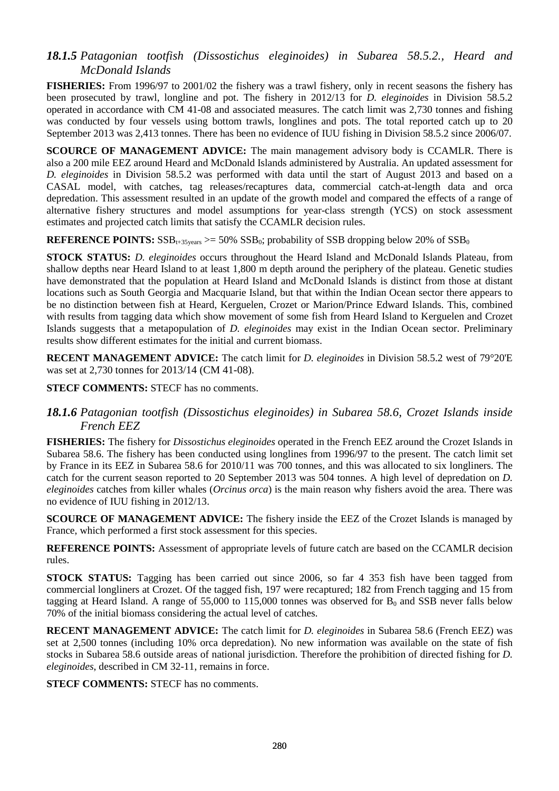## *18.1.5 Patagonian tootfish (Dissostichus eleginoides) in Subarea 58.5.2., Heard and McDonald Islands*

**FISHERIES:** From 1996/97 to 2001/02 the fishery was a trawl fishery, only in recent seasons the fishery has been prosecuted by trawl, longline and pot. The fishery in 2012/13 for *D. eleginoides* in Division 58.5.2 operated in accordance with CM 41-08 and associated measures. The catch limit was 2,730 tonnes and fishing was conducted by four vessels using bottom trawls, longlines and pots. The total reported catch up to 20 September 2013 was 2,413 tonnes. There has been no evidence of IUU fishing in Division 58.5.2 since 2006/07.

**SCOURCE OF MANAGEMENT ADVICE:** The main management advisory body is CCAMLR. There is also a 200 mile EEZ around Heard and McDonald Islands administered by Australia. An updated assessment for *D. eleginoides* in Division 58.5.2 was performed with data until the start of August 2013 and based on a CASAL model, with catches, tag releases/recaptures data, commercial catch-at-length data and orca depredation. This assessment resulted in an update of the growth model and compared the effects of a range of alternative fishery structures and model assumptions for year-class strength (YCS) on stock assessment estimates and projected catch limits that satisfy the CCAMLR decision rules.

#### **REFERENCE POINTS:**  $SSB_{t+35 \text{ years}} \ge 50\%$   $SSB_0$ ; probability of SSB dropping below 20% of  $SSB_0$

**STOCK STATUS:** *D. eleginoides* occurs throughout the Heard Island and McDonald Islands Plateau, from shallow depths near Heard Island to at least 1,800 m depth around the periphery of the plateau. Genetic studies have demonstrated that the population at Heard Island and McDonald Islands is distinct from those at distant locations such as South Georgia and Macquarie Island, but that within the Indian Ocean sector there appears to be no distinction between fish at Heard, Kerguelen, Crozet or Marion/Prince Edward Islands. This, combined with results from tagging data which show movement of some fish from Heard Island to Kerguelen and Crozet Islands suggests that a metapopulation of *D. eleginoides* may exist in the Indian Ocean sector. Preliminary results show different estimates for the initial and current biomass.

**RECENT MANAGEMENT ADVICE:** The catch limit for *D. eleginoides* in Division 58.5.2 west of 79°20'E was set at 2,730 tonnes for 2013/14 (CM 41-08).

**STECF COMMENTS:** STECF has no comments.

### *18.1.6 Patagonian tootfish (Dissostichus eleginoides) in Subarea 58.6, Crozet Islands inside French EEZ*

**FISHERIES:** The fishery for *Dissostichus eleginoides* operated in the French EEZ around the Crozet Islands in Subarea 58.6. The fishery has been conducted using longlines from 1996/97 to the present. The catch limit set by France in its EEZ in Subarea 58.6 for 2010/11 was 700 tonnes, and this was allocated to six longliners. The catch for the current season reported to 20 September 2013 was 504 tonnes. A high level of depredation on *D. eleginoides* catches from killer whales (*Orcinus orca*) is the main reason why fishers avoid the area. There was no evidence of IUU fishing in 2012/13.

**SCOURCE OF MANAGEMENT ADVICE:** The fishery inside the EEZ of the Crozet Islands is managed by France, which performed a first stock assessment for this species.

**REFERENCE POINTS:** Assessment of appropriate levels of future catch are based on the CCAMLR decision rules.

**STOCK STATUS:** Tagging has been carried out since 2006, so far 4 353 fish have been tagged from commercial longliners at Crozet. Of the tagged fish, 197 were recaptured; 182 from French tagging and 15 from tagging at Heard Island. A range of 55,000 to 115,000 tonnes was observed for  $B_0$  and SSB never falls below 70% of the initial biomass considering the actual level of catches.

**RECENT MANAGEMENT ADVICE:** The catch limit for *D. eleginoides* in Subarea 58.6 (French EEZ) was set at 2,500 tonnes (including 10% orca depredation). No new information was available on the state of fish stocks in Subarea 58.6 outside areas of national jurisdiction. Therefore the prohibition of directed fishing for *D. eleginoides*, described in CM 32-11, remains in force.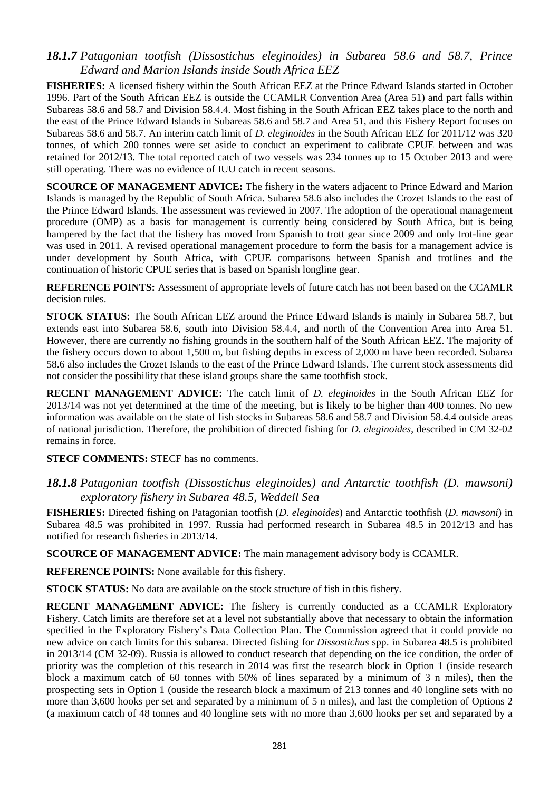### *18.1.7 Patagonian tootfish (Dissostichus eleginoides) in Subarea 58.6 and 58.7, Prince Edward and Marion Islands inside South Africa EEZ*

**FISHERIES:** A licensed fishery within the South African EEZ at the Prince Edward Islands started in October 1996. Part of the South African EEZ is outside the CCAMLR Convention Area (Area 51) and part falls within Subareas 58.6 and 58.7 and Division 58.4.4. Most fishing in the South African EEZ takes place to the north and the east of the Prince Edward Islands in Subareas 58.6 and 58.7 and Area 51, and this Fishery Report focuses on Subareas 58.6 and 58.7. An interim catch limit of *D. eleginoides* in the South African EEZ for 2011/12 was 320 tonnes, of which 200 tonnes were set aside to conduct an experiment to calibrate CPUE between and was retained for 2012/13. The total reported catch of two vessels was 234 tonnes up to 15 October 2013 and were still operating. There was no evidence of IUU catch in recent seasons.

**SCOURCE OF MANAGEMENT ADVICE:** The fishery in the waters adjacent to Prince Edward and Marion Islands is managed by the Republic of South Africa. Subarea 58.6 also includes the Crozet Islands to the east of the Prince Edward Islands. The assessment was reviewed in 2007. The adoption of the operational management procedure (OMP) as a basis for management is currently being considered by South Africa, but is being hampered by the fact that the fishery has moved from Spanish to trott gear since 2009 and only trot-line gear was used in 2011. A revised operational management procedure to form the basis for a management advice is under development by South Africa, with CPUE comparisons between Spanish and trotlines and the continuation of historic CPUE series that is based on Spanish longline gear.

**REFERENCE POINTS:** Assessment of appropriate levels of future catch has not been based on the CCAMLR decision rules.

**STOCK STATUS:** The South African EEZ around the Prince Edward Islands is mainly in Subarea 58.7, but extends east into Subarea 58.6, south into Division 58.4.4, and north of the Convention Area into Area 51. However, there are currently no fishing grounds in the southern half of the South African EEZ. The majority of the fishery occurs down to about 1,500 m, but fishing depths in excess of 2,000 m have been recorded. Subarea 58.6 also includes the Crozet Islands to the east of the Prince Edward Islands. The current stock assessments did not consider the possibility that these island groups share the same toothfish stock.

**RECENT MANAGEMENT ADVICE:** The catch limit of *D. eleginoides* in the South African EEZ for 2013/14 was not yet determined at the time of the meeting, but is likely to be higher than 400 tonnes. No new information was available on the state of fish stocks in Subareas 58.6 and 58.7 and Division 58.4.4 outside areas of national jurisdiction. Therefore, the prohibition of directed fishing for *D. eleginoides*, described in CM 32-02 remains in force.

**STECF COMMENTS:** STECF has no comments.

#### *18.1.8 Patagonian tootfish (Dissostichus eleginoides) and Antarctic toothfish (D. mawsoni) exploratory fishery in Subarea 48.5, Weddell Sea*

**FISHERIES:** Directed fishing on Patagonian tootfish (*D. eleginoides*) and Antarctic toothfish (*D. mawsoni*) in Subarea 48.5 was prohibited in 1997. Russia had performed research in Subarea 48.5 in 2012/13 and has notified for research fisheries in 2013/14.

**SCOURCE OF MANAGEMENT ADVICE:** The main management advisory body is CCAMLR.

**REFERENCE POINTS:** None available for this fishery.

**STOCK STATUS:** No data are available on the stock structure of fish in this fishery.

**RECENT MANAGEMENT ADVICE:** The fishery is currently conducted as a CCAMLR Exploratory Fishery. Catch limits are therefore set at a level not substantially above that necessary to obtain the information specified in the Exploratory Fishery's Data Collection Plan. The Commission agreed that it could provide no new advice on catch limits for this subarea. Directed fishing for *Dissostichus* spp. in Subarea 48.5 is prohibited in 2013/14 (CM 32-09). Russia is allowed to conduct research that depending on the ice condition, the order of priority was the completion of this research in 2014 was first the research block in Option 1 (inside research block a maximum catch of 60 tonnes with 50% of lines separated by a minimum of 3 n miles), then the prospecting sets in Option 1 (ouside the research block a maximum of 213 tonnes and 40 longline sets with no more than 3,600 hooks per set and separated by a minimum of 5 n miles), and last the completion of Options 2 (a maximum catch of 48 tonnes and 40 longline sets with no more than 3,600 hooks per set and separated by a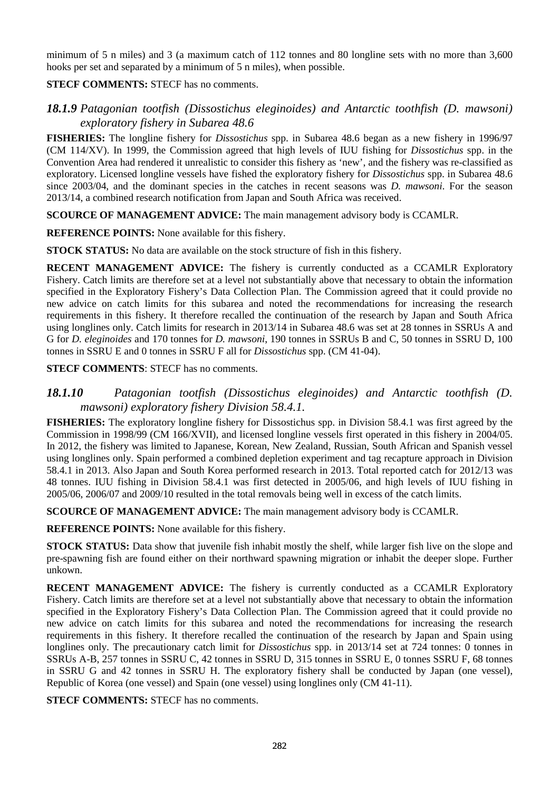minimum of 5 n miles) and 3 (a maximum catch of 112 tonnes and 80 longline sets with no more than 3,600 hooks per set and separated by a minimum of 5 n miles), when possible.

**STECF COMMENTS:** STECF has no comments.

### *18.1.9 Patagonian tootfish (Dissostichus eleginoides) and Antarctic toothfish (D. mawsoni) exploratory fishery in Subarea 48.6*

**FISHERIES:** The longline fishery for *Dissostichus* spp. in Subarea 48.6 began as a new fishery in 1996/97 (CM 114/XV). In 1999, the Commission agreed that high levels of IUU fishing for *Dissostichus* spp. in the Convention Area had rendered it unrealistic to consider this fishery as 'new', and the fishery was re-classified as exploratory. Licensed longline vessels have fished the exploratory fishery for *Dissostichus* spp. in Subarea 48.6 since 2003/04, and the dominant species in the catches in recent seasons was *D. mawsoni*. For the season 2013/14, a combined research notification from Japan and South Africa was received.

**SCOURCE OF MANAGEMENT ADVICE:** The main management advisory body is CCAMLR.

**REFERENCE POINTS:** None available for this fishery.

**STOCK STATUS:** No data are available on the stock structure of fish in this fishery.

**RECENT MANAGEMENT ADVICE:** The fishery is currently conducted as a CCAMLR Exploratory Fishery. Catch limits are therefore set at a level not substantially above that necessary to obtain the information specified in the Exploratory Fishery's Data Collection Plan. The Commission agreed that it could provide no new advice on catch limits for this subarea and noted the recommendations for increasing the research requirements in this fishery. It therefore recalled the continuation of the research by Japan and South Africa using longlines only. Catch limits for research in 2013/14 in Subarea 48.6 was set at 28 tonnes in SSRUs A and G for *D. eleginoides* and 170 tonnes for *D. mawsoni*, 190 tonnes in SSRUs B and C, 50 tonnes in SSRU D, 100 tonnes in SSRU E and 0 tonnes in SSRU F all for *Dissostichus* spp. (CM 41-04).

**STECF COMMENTS**: STECF has no comments.

### *18.1.10 Patagonian tootfish (Dissostichus eleginoides) and Antarctic toothfish (D. mawsoni) exploratory fishery Division 58.4.1.*

**FISHERIES:** The exploratory longline fishery for Dissostichus spp. in Division 58.4.1 was first agreed by the Commission in 1998/99 (CM 166/XVII), and licensed longline vessels first operated in this fishery in 2004/05. In 2012, the fishery was limited to Japanese, Korean, New Zealand, Russian, South African and Spanish vessel using longlines only. Spain performed a combined depletion experiment and tag recapture approach in Division 58.4.1 in 2013. Also Japan and South Korea performed research in 2013. Total reported catch for 2012/13 was 48 tonnes. IUU fishing in Division 58.4.1 was first detected in 2005/06, and high levels of IUU fishing in 2005/06, 2006/07 and 2009/10 resulted in the total removals being well in excess of the catch limits.

**SCOURCE OF MANAGEMENT ADVICE:** The main management advisory body is CCAMLR.

**REFERENCE POINTS:** None available for this fishery.

**STOCK STATUS:** Data show that juvenile fish inhabit mostly the shelf, while larger fish live on the slope and pre-spawning fish are found either on their northward spawning migration or inhabit the deeper slope. Further unkown.

**RECENT MANAGEMENT ADVICE:** The fishery is currently conducted as a CCAMLR Exploratory Fishery. Catch limits are therefore set at a level not substantially above that necessary to obtain the information specified in the Exploratory Fishery's Data Collection Plan. The Commission agreed that it could provide no new advice on catch limits for this subarea and noted the recommendations for increasing the research requirements in this fishery. It therefore recalled the continuation of the research by Japan and Spain using longlines only. The precautionary catch limit for *Dissostichus* spp. in 2013/14 set at 724 tonnes: 0 tonnes in SSRUs A-B, 257 tonnes in SSRU C, 42 tonnes in SSRU D, 315 tonnes in SSRU E, 0 tonnes SSRU F, 68 tonnes in SSRU G and 42 tonnes in SSRU H. The exploratory fishery shall be conducted by Japan (one vessel), Republic of Korea (one vessel) and Spain (one vessel) using longlines only (CM 41-11).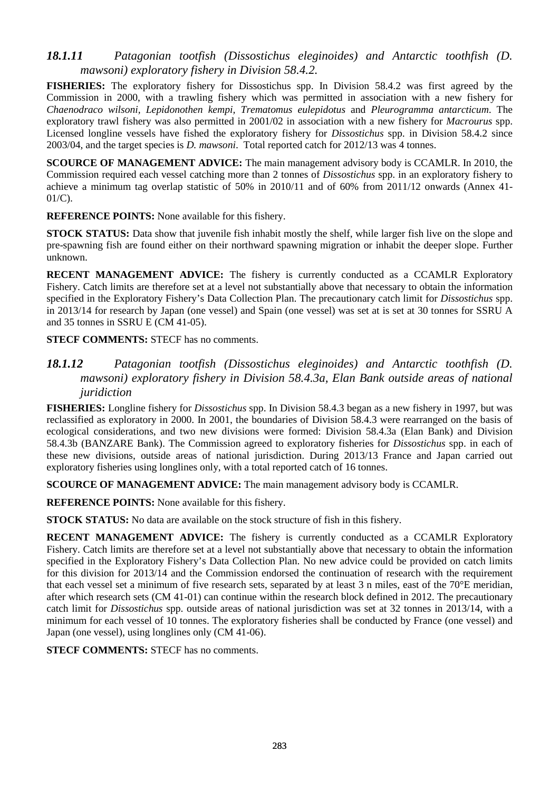### *18.1.11 Patagonian tootfish (Dissostichus eleginoides) and Antarctic toothfish (D. mawsoni) exploratory fishery in Division 58.4.2.*

**FISHERIES:** The exploratory fishery for Dissostichus spp. In Division 58.4.2 was first agreed by the Commission in 2000, with a trawling fishery which was permitted in association with a new fishery for *Chaenodraco wilsoni, Lepidonothen kempi, Trematomus eulepidotus* and *Pleurogramma antarcticum*. The exploratory trawl fishery was also permitted in 2001/02 in association with a new fishery for *Macrourus* spp. Licensed longline vessels have fished the exploratory fishery for *Dissostichus* spp. in Division 58.4.2 since 2003/04, and the target species is *D. mawsoni*. Total reported catch for 2012/13 was 4 tonnes.

**SCOURCE OF MANAGEMENT ADVICE:** The main management advisory body is CCAMLR. In 2010, the Commission required each vessel catching more than 2 tonnes of *Dissostichus* spp. in an exploratory fishery to achieve a minimum tag overlap statistic of 50% in 2010/11 and of 60% from 2011/12 onwards (Annex 41- 01/C).

**REFERENCE POINTS:** None available for this fishery.

**STOCK STATUS:** Data show that juvenile fish inhabit mostly the shelf, while larger fish live on the slope and pre-spawning fish are found either on their northward spawning migration or inhabit the deeper slope. Further unknown.

**RECENT MANAGEMENT ADVICE:** The fishery is currently conducted as a CCAMLR Exploratory Fishery. Catch limits are therefore set at a level not substantially above that necessary to obtain the information specified in the Exploratory Fishery's Data Collection Plan. The precautionary catch limit for *Dissostichus* spp. in 2013/14 for research by Japan (one vessel) and Spain (one vessel) was set at is set at 30 tonnes for SSRU A and 35 tonnes in SSRU E (CM 41-05).

**STECF COMMENTS:** STECF has no comments.

### *18.1.12 Patagonian tootfish (Dissostichus eleginoides) and Antarctic toothfish (D. mawsoni) exploratory fishery in Division 58.4.3a, Elan Bank outside areas of national juridiction*

**FISHERIES:** Longline fishery for *Dissostichus* spp. In Division 58.4.3 began as a new fishery in 1997, but was reclassified as exploratory in 2000. In 2001, the boundaries of Division 58.4.3 were rearranged on the basis of ecological considerations, and two new divisions were formed: Division 58.4.3a (Elan Bank) and Division 58.4.3b (BANZARE Bank). The Commission agreed to exploratory fisheries for *Dissostichus* spp. in each of these new divisions, outside areas of national jurisdiction. During 2013/13 France and Japan carried out exploratory fisheries using longlines only, with a total reported catch of 16 tonnes.

**SCOURCE OF MANAGEMENT ADVICE:** The main management advisory body is CCAMLR.

**REFERENCE POINTS:** None available for this fishery.

**STOCK STATUS:** No data are available on the stock structure of fish in this fishery.

**RECENT MANAGEMENT ADVICE:** The fishery is currently conducted as a CCAMLR Exploratory Fishery. Catch limits are therefore set at a level not substantially above that necessary to obtain the information specified in the Exploratory Fishery's Data Collection Plan. No new advice could be provided on catch limits for this division for 2013/14 and the Commission endorsed the continuation of research with the requirement that each vessel set a minimum of five research sets, separated by at least 3 n miles, east of the 70°E meridian, after which research sets (CM 41-01) can continue within the research block defined in 2012. The precautionary catch limit for *Dissostichus* spp. outside areas of national jurisdiction was set at 32 tonnes in 2013/14, with a minimum for each vessel of 10 tonnes. The exploratory fisheries shall be conducted by France (one vessel) and Japan (one vessel), using longlines only (CM 41-06).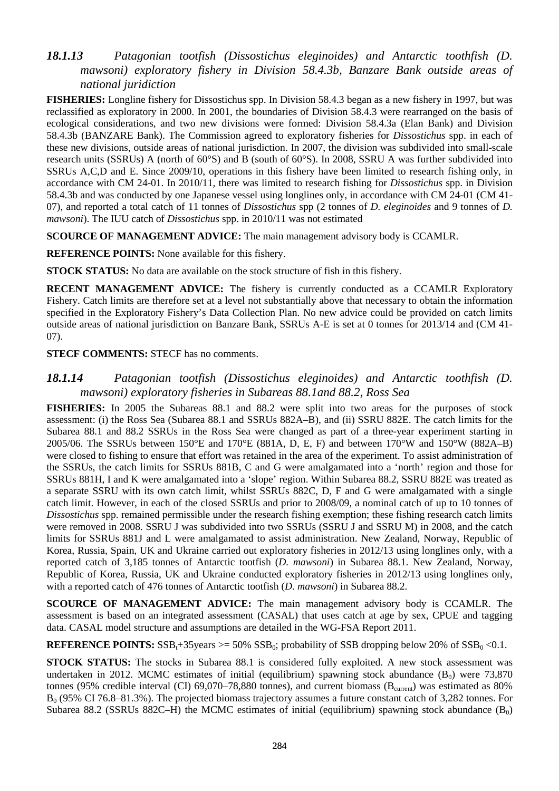## *18.1.13 Patagonian tootfish (Dissostichus eleginoides) and Antarctic toothfish (D. mawsoni) exploratory fishery in Division 58.4.3b, Banzare Bank outside areas of national juridiction*

**FISHERIES:** Longline fishery for Dissostichus spp. In Division 58.4.3 began as a new fishery in 1997, but was reclassified as exploratory in 2000. In 2001, the boundaries of Division 58.4.3 were rearranged on the basis of ecological considerations, and two new divisions were formed: Division 58.4.3a (Elan Bank) and Division 58.4.3b (BANZARE Bank). The Commission agreed to exploratory fisheries for *Dissostichus* spp. in each of these new divisions, outside areas of national jurisdiction. In 2007, the division was subdivided into small-scale research units (SSRUs) A (north of 60°S) and B (south of 60°S). In 2008, SSRU A was further subdivided into SSRUs A,C,D and E. Since 2009/10, operations in this fishery have been limited to research fishing only, in accordance with CM 24-01. In 2010/11, there was limited to research fishing for *Dissostichus* spp. in Division 58.4.3b and was conducted by one Japanese vessel using longlines only, in accordance with CM 24-01 (CM 41- 07), and reported a total catch of 11 tonnes of *Dissostichus* spp (2 tonnes of *D. eleginoides* and 9 tonnes of *D. mawsoni*). The IUU catch of *Dissostichus* spp. in 2010/11 was not estimated

**SCOURCE OF MANAGEMENT ADVICE:** The main management advisory body is CCAMLR.

**REFERENCE POINTS:** None available for this fishery.

**STOCK STATUS:** No data are available on the stock structure of fish in this fishery.

**RECENT MANAGEMENT ADVICE:** The fishery is currently conducted as a CCAMLR Exploratory Fishery. Catch limits are therefore set at a level not substantially above that necessary to obtain the information specified in the Exploratory Fishery's Data Collection Plan. No new advice could be provided on catch limits outside areas of national jurisdiction on Banzare Bank, SSRUs A-E is set at 0 tonnes for 2013/14 and (CM 41- 07).

#### **STECF COMMENTS: STECF has no comments.**

### *18.1.14 Patagonian tootfish (Dissostichus eleginoides) and Antarctic toothfish (D. mawsoni) exploratory fisheries in Subareas 88.1and 88.2, Ross Sea*

**FISHERIES:** In 2005 the Subareas 88.1 and 88.2 were split into two areas for the purposes of stock assessment: (i) the Ross Sea (Subarea 88.1 and SSRUs 882A–B), and (ii) SSRU 882E. The catch limits for the Subarea 88.1 and 88.2 SSRUs in the Ross Sea were changed as part of a three-year experiment starting in 2005/06. The SSRUs between 150°E and 170°E (881A, D, E, F) and between 170°W and 150°W (882A–B) were closed to fishing to ensure that effort was retained in the area of the experiment. To assist administration of the SSRUs, the catch limits for SSRUs 881B, C and G were amalgamated into a 'north' region and those for SSRUs 881H, I and K were amalgamated into a 'slope' region. Within Subarea 88.2, SSRU 882E was treated as a separate SSRU with its own catch limit, whilst SSRUs 882C, D, F and G were amalgamated with a single catch limit. However, in each of the closed SSRUs and prior to 2008/09, a nominal catch of up to 10 tonnes of *Dissostichus* spp. remained permissible under the research fishing exemption; these fishing research catch limits were removed in 2008. SSRU J was subdivided into two SSRUs (SSRU J and SSRU M) in 2008, and the catch limits for SSRUs 881J and L were amalgamated to assist administration. New Zealand, Norway, Republic of Korea, Russia, Spain, UK and Ukraine carried out exploratory fisheries in 2012/13 using longlines only, with a reported catch of 3,185 tonnes of Antarctic tootfish (*D. mawsoni*) in Subarea 88.1. New Zealand, Norway, Republic of Korea, Russia, UK and Ukraine conducted exploratory fisheries in 2012/13 using longlines only, with a reported catch of 476 tonnes of Antarctic tootfish (*D. mawsoni*) in Subarea 88.2.

**SCOURCE OF MANAGEMENT ADVICE:** The main management advisory body is CCAMLR. The assessment is based on an integrated assessment (CASAL) that uses catch at age by sex, CPUE and tagging data. CASAL model structure and assumptions are detailed in the WG-FSA Report 2011.

**REFERENCE POINTS:**  $SSB_t + 35$ years  $\geq 50\%$   $SSB_0$ ; probability of SSB dropping below 20% of  $SSB_0 \leq 0.1$ .

**STOCK STATUS:** The stocks in Subarea 88.1 is considered fully exploited. A new stock assessment was undertaken in 2012. MCMC estimates of initial (equilibrium) spawning stock abundance  $(B<sub>0</sub>)$  were 73,870 tonnes (95% credible interval (CI) 69,070–78,880 tonnes), and current biomass ( $B<sub>current</sub>$ ) was estimated as 80%  $B<sub>0</sub>$  (95% CI 76.8–81.3%). The projected biomass trajectory assumes a future constant catch of 3,282 tonnes. For Subarea 88.2 (SSRUs 882C–H) the MCMC estimates of initial (equilibrium) spawning stock abundance  $(B_0)$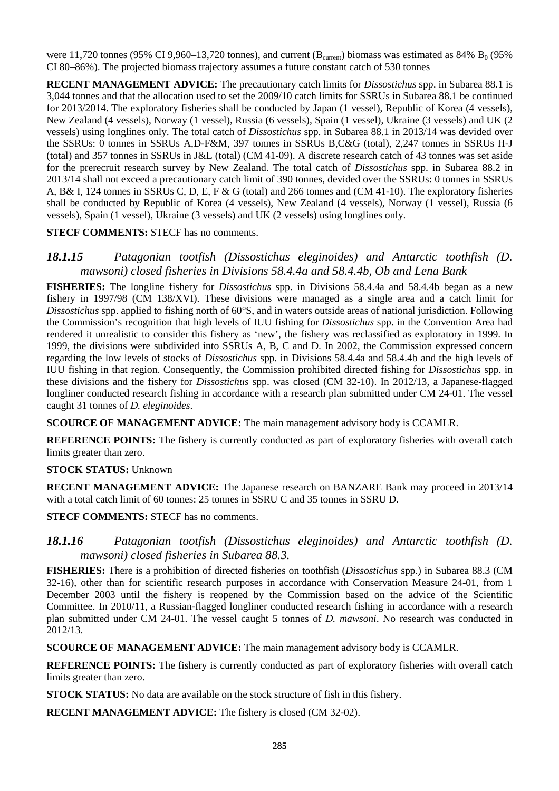were 11,720 tonnes (95% CI 9,960–13,720 tonnes), and current ( $B_{\text{current}}$ ) biomass was estimated as 84%  $B_0$  (95% CI 80–86%). The projected biomass trajectory assumes a future constant catch of 530 tonnes

**RECENT MANAGEMENT ADVICE:** The precautionary catch limits for *Dissostichus* spp. in Subarea 88.1 is 3,044 tonnes and that the allocation used to set the 2009/10 catch limits for SSRUs in Subarea 88.1 be continued for 2013/2014. The exploratory fisheries shall be conducted by Japan (1 vessel), Republic of Korea (4 vessels), New Zealand (4 vessels), Norway (1 vessel), Russia (6 vessels), Spain (1 vessel), Ukraine (3 vessels) and UK (2 vessels) using longlines only. The total catch of *Dissostichus* spp. in Subarea 88.1 in 2013/14 was devided over the SSRUs: 0 tonnes in SSRUs A,D-F&M, 397 tonnes in SSRUs B,C&G (total), 2,247 tonnes in SSRUs H-J (total) and 357 tonnes in SSRUs in J&L (total) (CM 41-09). A discrete research catch of 43 tonnes was set aside for the prerecruit research survey by New Zealand. The total catch of *Dissostichus* spp. in Subarea 88.2 in 2013/14 shall not exceed a precautionary catch limit of 390 tonnes, devided over the SSRUs: 0 tonnes in SSRUs A, B& I, 124 tonnes in SSRUs C, D, E, F & G (total) and 266 tonnes and (CM 41-10). The exploratory fisheries shall be conducted by Republic of Korea (4 vessels), New Zealand (4 vessels), Norway (1 vessel), Russia (6 vessels), Spain (1 vessel), Ukraine (3 vessels) and UK (2 vessels) using longlines only.

#### **STECF COMMENTS:** STECF has no comments.

### *18.1.15 Patagonian tootfish (Dissostichus eleginoides) and Antarctic toothfish (D. mawsoni) closed fisheries in Divisions 58.4.4a and 58.4.4b, Ob and Lena Bank*

**FISHERIES:** The longline fishery for *Dissostichus* spp. in Divisions 58.4.4a and 58.4.4b began as a new fishery in 1997/98 (CM 138/XVI). These divisions were managed as a single area and a catch limit for *Dissostichus* spp. applied to fishing north of 60°S, and in waters outside areas of national jurisdiction. Following the Commission's recognition that high levels of IUU fishing for *Dissostichus* spp. in the Convention Area had rendered it unrealistic to consider this fishery as 'new', the fishery was reclassified as exploratory in 1999. In 1999, the divisions were subdivided into SSRUs A, B, C and D. In 2002, the Commission expressed concern regarding the low levels of stocks of *Dissostichus* spp. in Divisions 58.4.4a and 58.4.4b and the high levels of IUU fishing in that region. Consequently, the Commission prohibited directed fishing for *Dissostichus* spp. in these divisions and the fishery for *Dissostichus* spp. was closed (CM 32-10). In 2012/13, a Japanese-flagged longliner conducted research fishing in accordance with a research plan submitted under CM 24-01. The vessel caught 31 tonnes of *D. eleginoides*.

**SCOURCE OF MANAGEMENT ADVICE:** The main management advisory body is CCAMLR.

**REFERENCE POINTS:** The fishery is currently conducted as part of exploratory fisheries with overall catch limits greater than zero.

#### **STOCK STATUS:** Unknown

**RECENT MANAGEMENT ADVICE:** The Japanese research on BANZARE Bank may proceed in 2013/14 with a total catch limit of 60 tonnes: 25 tonnes in SSRU C and 35 tonnes in SSRU D.

**STECF COMMENTS:** STECF has no comments.

#### *18.1.16 Patagonian tootfish (Dissostichus eleginoides) and Antarctic toothfish (D. mawsoni) closed fisheries in Subarea 88.3.*

**FISHERIES:** There is a prohibition of directed fisheries on toothfish (*Dissostichus* spp.) in Subarea 88.3 (CM 32-16), other than for scientific research purposes in accordance with Conservation Measure 24-01, from 1 December 2003 until the fishery is reopened by the Commission based on the advice of the Scientific Committee. In 2010/11, a Russian-flagged longliner conducted research fishing in accordance with a research plan submitted under CM 24-01. The vessel caught 5 tonnes of *D. mawsoni*. No research was conducted in 2012/13.

**SCOURCE OF MANAGEMENT ADVICE:** The main management advisory body is CCAMLR.

**REFERENCE POINTS:** The fishery is currently conducted as part of exploratory fisheries with overall catch limits greater than zero.

**STOCK STATUS:** No data are available on the stock structure of fish in this fishery.

**RECENT MANAGEMENT ADVICE:** The fishery is closed (CM 32-02).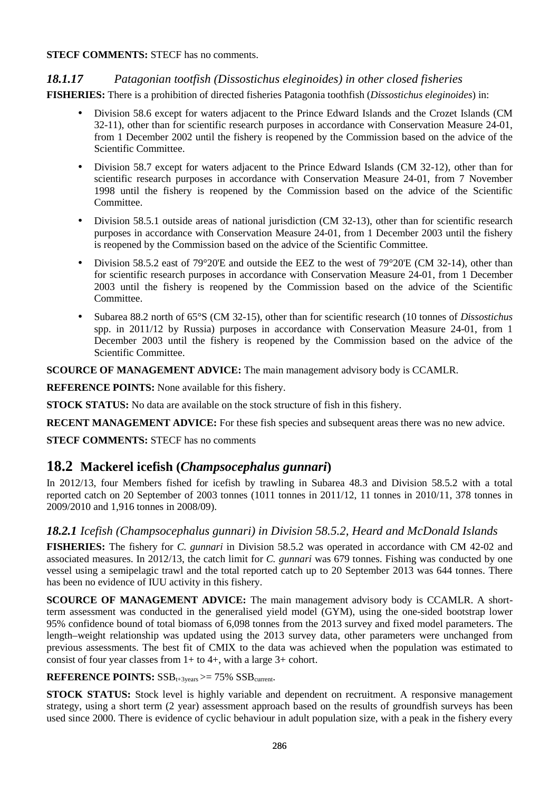#### **STECF COMMENTS:** STECF has no comments.

### *18.1.17 Patagonian tootfish (Dissostichus eleginoides) in other closed fisheries*

**FISHERIES:** There is a prohibition of directed fisheries Patagonia toothfish (*Dissostichus eleginoides*) in:

- Division 58.6 except for waters adjacent to the Prince Edward Islands and the Crozet Islands (CM 32-11), other than for scientific research purposes in accordance with Conservation Measure 24-01, from 1 December 2002 until the fishery is reopened by the Commission based on the advice of the Scientific Committee.
- Division 58.7 except for waters adjacent to the Prince Edward Islands (CM 32-12), other than for scientific research purposes in accordance with Conservation Measure 24-01, from 7 November 1998 until the fishery is reopened by the Commission based on the advice of the Scientific Committee.
- Division 58.5.1 outside areas of national jurisdiction (CM 32-13), other than for scientific research purposes in accordance with Conservation Measure 24-01, from 1 December 2003 until the fishery is reopened by the Commission based on the advice of the Scientific Committee.
- Division 58.5.2 east of 79°20'E and outside the EEZ to the west of 79°20'E (CM 32-14), other than for scientific research purposes in accordance with Conservation Measure 24-01, from 1 December 2003 until the fishery is reopened by the Commission based on the advice of the Scientific Committee.
- Subarea 88.2 north of 65°S (CM 32-15), other than for scientific research (10 tonnes of *Dissostichus* spp. in 2011/12 by Russia) purposes in accordance with Conservation Measure 24-01, from 1 December 2003 until the fishery is reopened by the Commission based on the advice of the Scientific Committee.

**SCOURCE OF MANAGEMENT ADVICE:** The main management advisory body is CCAMLR.

**REFERENCE POINTS:** None available for this fishery.

**STOCK STATUS:** No data are available on the stock structure of fish in this fishery.

**RECENT MANAGEMENT ADVICE:** For these fish species and subsequent areas there was no new advice.

**STECF COMMENTS:** STECF has no comments

# **18.2 Mackerel icefish (***Champsocephalus gunnari***)**

In 2012/13, four Members fished for icefish by trawling in Subarea 48.3 and Division 58.5.2 with a total reported catch on 20 September of 2003 tonnes (1011 tonnes in 2011/12, 11 tonnes in 2010/11, 378 tonnes in 2009/2010 and 1,916 tonnes in 2008/09).

### *18.2.1 Icefish (Champsocephalus gunnari) in Division 58.5.2, Heard and McDonald Islands*

**FISHERIES:** The fishery for *C. gunnari* in Division 58.5.2 was operated in accordance with CM 42-02 and associated measures. In 2012/13, the catch limit for *C. gunnari* was 679 tonnes. Fishing was conducted by one vessel using a semipelagic trawl and the total reported catch up to 20 September 2013 was 644 tonnes. There has been no evidence of IUU activity in this fishery.

**SCOURCE OF MANAGEMENT ADVICE:** The main management advisory body is CCAMLR. A shortterm assessment was conducted in the generalised yield model (GYM), using the one-sided bootstrap lower 95% confidence bound of total biomass of 6,098 tonnes from the 2013 survey and fixed model parameters. The length–weight relationship was updated using the 2013 survey data, other parameters were unchanged from previous assessments. The best fit of CMIX to the data was achieved when the population was estimated to consist of four year classes from  $1+$  to  $4+$ , with a large  $3+$  cohort.

#### **REFERENCE POINTS:**  $SSB_{t+3\text{years}} \geq 75\%$   $SSB_{current}$ .

**STOCK STATUS:** Stock level is highly variable and dependent on recruitment. A responsive management strategy, using a short term (2 year) assessment approach based on the results of groundfish surveys has been used since 2000. There is evidence of cyclic behaviour in adult population size, with a peak in the fishery every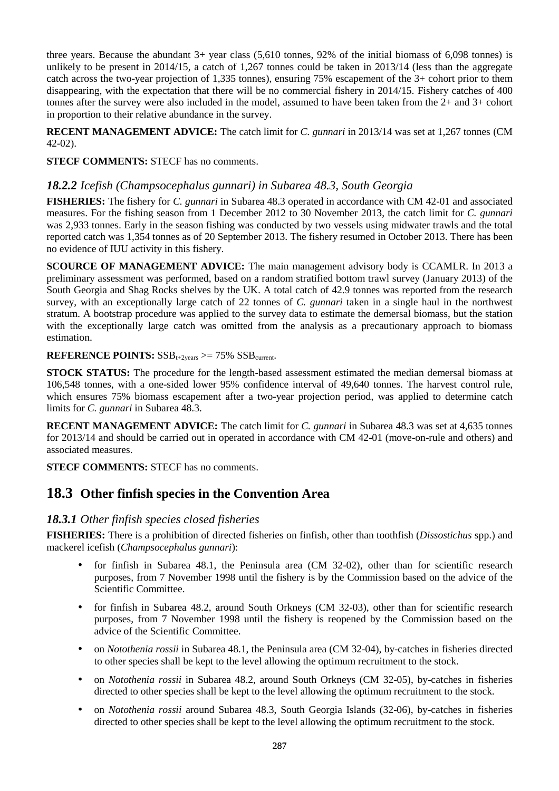three years. Because the abundant 3+ year class (5,610 tonnes, 92% of the initial biomass of 6,098 tonnes) is unlikely to be present in 2014/15, a catch of 1,267 tonnes could be taken in 2013/14 (less than the aggregate catch across the two-year projection of 1,335 tonnes), ensuring 75% escapement of the 3+ cohort prior to them disappearing, with the expectation that there will be no commercial fishery in 2014/15. Fishery catches of 400 tonnes after the survey were also included in the model, assumed to have been taken from the 2+ and 3+ cohort in proportion to their relative abundance in the survey.

**RECENT MANAGEMENT ADVICE:** The catch limit for *C. gunnari* in 2013/14 was set at 1,267 tonnes (CM 42-02).

**STECF COMMENTS:** STECF has no comments.

## *18.2.2 Icefish (Champsocephalus gunnari) in Subarea 48.3, South Georgia*

**FISHERIES:** The fishery for *C. gunnari* in Subarea 48.3 operated in accordance with CM 42-01 and associated measures. For the fishing season from 1 December 2012 to 30 November 2013, the catch limit for *C. gunnari* was 2,933 tonnes. Early in the season fishing was conducted by two vessels using midwater trawls and the total reported catch was 1,354 tonnes as of 20 September 2013. The fishery resumed in October 2013. There has been no evidence of IUU activity in this fishery.

**SCOURCE OF MANAGEMENT ADVICE:** The main management advisory body is CCAMLR. In 2013 a preliminary assessment was performed, based on a random stratified bottom trawl survey (January 2013) of the South Georgia and Shag Rocks shelves by the UK. A total catch of 42.9 tonnes was reported from the research survey, with an exceptionally large catch of 22 tonnes of *C. gunnari* taken in a single haul in the northwest stratum. A bootstrap procedure was applied to the survey data to estimate the demersal biomass, but the station with the exceptionally large catch was omitted from the analysis as a precautionary approach to biomass estimation.

#### **REFERENCE POINTS:**  $SSB_{t+2\text{years}} \geq 75\%$   $SSB_{current}$ .

**STOCK STATUS:** The procedure for the length-based assessment estimated the median demersal biomass at 106,548 tonnes, with a one-sided lower 95% confidence interval of 49,640 tonnes. The harvest control rule, which ensures 75% biomass escapement after a two-year projection period, was applied to determine catch limits for *C. gunnari* in Subarea 48.3.

**RECENT MANAGEMENT ADVICE:** The catch limit for *C. gunnari* in Subarea 48.3 was set at 4,635 tonnes for 2013/14 and should be carried out in operated in accordance with CM 42-01 (move-on-rule and others) and associated measures.

**STECF COMMENTS:** STECF has no comments.

# **18.3 Other finfish species in the Convention Area**

### *18.3.1 Other finfish species closed fisheries*

**FISHERIES:** There is a prohibition of directed fisheries on finfish, other than toothfish (*Dissostichus* spp.) and mackerel icefish (*Champsocephalus gunnari*):

- for finfish in Subarea 48.1, the Peninsula area (CM 32-02), other than for scientific research purposes, from 7 November 1998 until the fishery is by the Commission based on the advice of the Scientific Committee.
- for finfish in Subarea 48.2, around South Orkneys (CM 32-03), other than for scientific research purposes, from 7 November 1998 until the fishery is reopened by the Commission based on the advice of the Scientific Committee.
- on *Notothenia rossii* in Subarea 48.1, the Peninsula area (CM 32-04), by-catches in fisheries directed to other species shall be kept to the level allowing the optimum recruitment to the stock.
- on *Notothenia rossii* in Subarea 48.2, around South Orkneys (CM 32-05), by-catches in fisheries directed to other species shall be kept to the level allowing the optimum recruitment to the stock.
- on *Notothenia rossii* around Subarea 48.3, South Georgia Islands (32-06), by-catches in fisheries directed to other species shall be kept to the level allowing the optimum recruitment to the stock.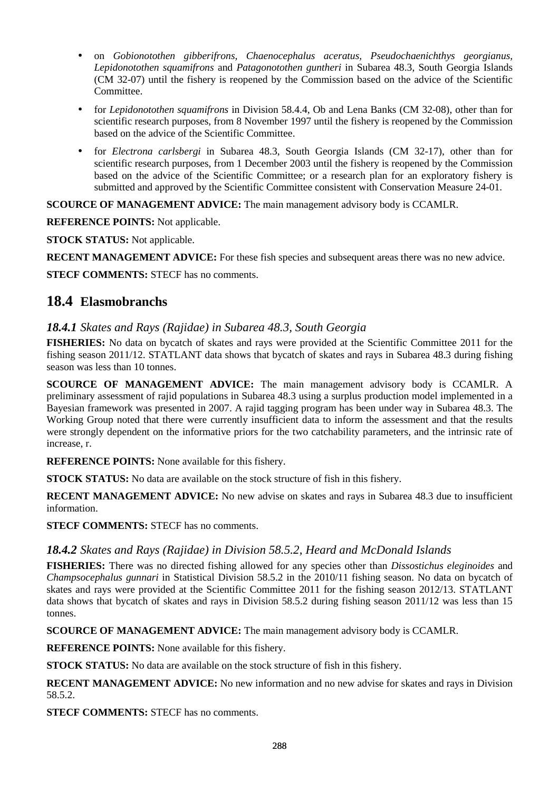- on *Gobionotothen gibberifrons, Chaenocephalus aceratus, Pseudochaenichthys georgianus, Lepidonotothen squamifrons* and *Patagonotothen guntheri* in Subarea 48.3, South Georgia Islands (CM 32-07) until the fishery is reopened by the Commission based on the advice of the Scientific Committee.
- for *Lepidonotothen squamifrons* in Division 58.4.4, Ob and Lena Banks (CM 32-08), other than for scientific research purposes, from 8 November 1997 until the fishery is reopened by the Commission based on the advice of the Scientific Committee.
- for *Electrona carlsbergi* in Subarea 48.3, South Georgia Islands (CM 32-17), other than for scientific research purposes, from 1 December 2003 until the fishery is reopened by the Commission based on the advice of the Scientific Committee; or a research plan for an exploratory fishery is submitted and approved by the Scientific Committee consistent with Conservation Measure 24-01.

**SCOURCE OF MANAGEMENT ADVICE:** The main management advisory body is CCAMLR.

**REFERENCE POINTS:** Not applicable.

**STOCK STATUS:** Not applicable.

**RECENT MANAGEMENT ADVICE:** For these fish species and subsequent areas there was no new advice.

**STECF COMMENTS:** STECF has no comments.

# **18.4 Elasmobranchs**

## *18.4.1 Skates and Rays (Rajidae) in Subarea 48.3, South Georgia*

**FISHERIES:** No data on bycatch of skates and rays were provided at the Scientific Committee 2011 for the fishing season 2011/12. STATLANT data shows that bycatch of skates and rays in Subarea 48.3 during fishing season was less than 10 tonnes.

**SCOURCE OF MANAGEMENT ADVICE:** The main management advisory body is CCAMLR. A preliminary assessment of rajid populations in Subarea 48.3 using a surplus production model implemented in a Bayesian framework was presented in 2007. A rajid tagging program has been under way in Subarea 48.3. The Working Group noted that there were currently insufficient data to inform the assessment and that the results were strongly dependent on the informative priors for the two catchability parameters, and the intrinsic rate of increase, r.

**REFERENCE POINTS:** None available for this fishery.

**STOCK STATUS:** No data are available on the stock structure of fish in this fishery.

**RECENT MANAGEMENT ADVICE:** No new advise on skates and rays in Subarea 48.3 due to insufficient information.

**STECF COMMENTS:** STECF has no comments.

## *18.4.2 Skates and Rays (Rajidae) in Division 58.5.2, Heard and McDonald Islands*

**FISHERIES:** There was no directed fishing allowed for any species other than *Dissostichus eleginoides* and *Champsocephalus gunnari* in Statistical Division 58.5.2 in the 2010/11 fishing season. No data on bycatch of skates and rays were provided at the Scientific Committee 2011 for the fishing season 2012/13. STATLANT data shows that bycatch of skates and rays in Division 58.5.2 during fishing season 2011/12 was less than 15 tonnes.

**SCOURCE OF MANAGEMENT ADVICE:** The main management advisory body is CCAMLR.

**REFERENCE POINTS:** None available for this fishery.

**STOCK STATUS:** No data are available on the stock structure of fish in this fishery.

**RECENT MANAGEMENT ADVICE:** No new information and no new advise for skates and rays in Division 58.5.2.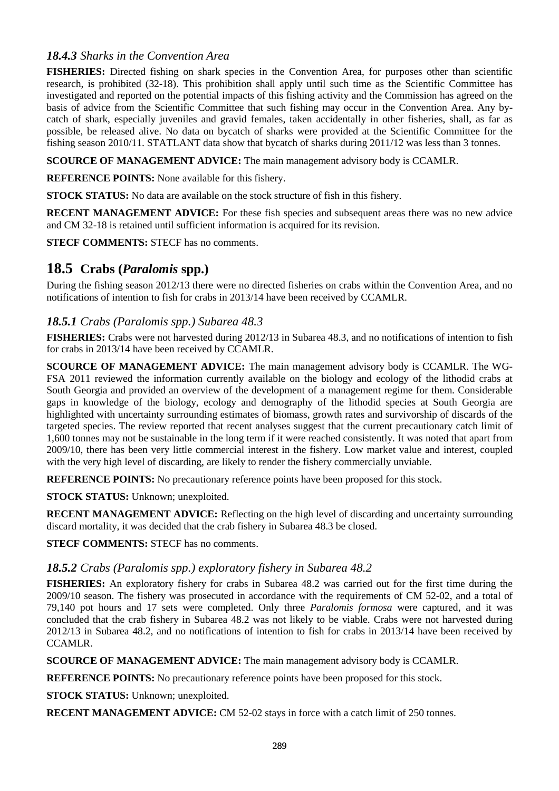## *18.4.3 Sharks in the Convention Area*

**FISHERIES:** Directed fishing on shark species in the Convention Area, for purposes other than scientific research, is prohibited (32-18). This prohibition shall apply until such time as the Scientific Committee has investigated and reported on the potential impacts of this fishing activity and the Commission has agreed on the basis of advice from the Scientific Committee that such fishing may occur in the Convention Area. Any bycatch of shark, especially juveniles and gravid females, taken accidentally in other fisheries, shall, as far as possible, be released alive. No data on bycatch of sharks were provided at the Scientific Committee for the fishing season 2010/11. STATLANT data show that bycatch of sharks during 2011/12 was less than 3 tonnes.

**SCOURCE OF MANAGEMENT ADVICE:** The main management advisory body is CCAMLR.

**REFERENCE POINTS:** None available for this fishery.

**STOCK STATUS:** No data are available on the stock structure of fish in this fishery.

**RECENT MANAGEMENT ADVICE:** For these fish species and subsequent areas there was no new advice and CM 32-18 is retained until sufficient information is acquired for its revision.

**STECF COMMENTS:** STECF has no comments.

# **18.5 Crabs (***Paralomis* **spp.)**

During the fishing season 2012/13 there were no directed fisheries on crabs within the Convention Area, and no notifications of intention to fish for crabs in 2013/14 have been received by CCAMLR.

## *18.5.1 Crabs (Paralomis spp.) Subarea 48.3*

**FISHERIES:** Crabs were not harvested during 2012/13 in Subarea 48.3, and no notifications of intention to fish for crabs in 2013/14 have been received by CCAMLR.

**SCOURCE OF MANAGEMENT ADVICE:** The main management advisory body is CCAMLR. The WG-FSA 2011 reviewed the information currently available on the biology and ecology of the lithodid crabs at South Georgia and provided an overview of the development of a management regime for them. Considerable gaps in knowledge of the biology, ecology and demography of the lithodid species at South Georgia are highlighted with uncertainty surrounding estimates of biomass, growth rates and survivorship of discards of the targeted species. The review reported that recent analyses suggest that the current precautionary catch limit of 1,600 tonnes may not be sustainable in the long term if it were reached consistently. It was noted that apart from 2009/10, there has been very little commercial interest in the fishery. Low market value and interest, coupled with the very high level of discarding, are likely to render the fishery commercially unviable.

**REFERENCE POINTS:** No precautionary reference points have been proposed for this stock.

**STOCK STATUS:** Unknown; unexploited.

**RECENT MANAGEMENT ADVICE:** Reflecting on the high level of discarding and uncertainty surrounding discard mortality, it was decided that the crab fishery in Subarea 48.3 be closed.

**STECF COMMENTS:** STECF has no comments.

## *18.5.2 Crabs (Paralomis spp.) exploratory fishery in Subarea 48.2*

**FISHERIES:** An exploratory fishery for crabs in Subarea 48.2 was carried out for the first time during the 2009/10 season. The fishery was prosecuted in accordance with the requirements of CM 52-02, and a total of 79,140 pot hours and 17 sets were completed. Only three *Paralomis formosa* were captured, and it was concluded that the crab fishery in Subarea 48.2 was not likely to be viable. Crabs were not harvested during 2012/13 in Subarea 48.2, and no notifications of intention to fish for crabs in 2013/14 have been received by CCAMLR.

**SCOURCE OF MANAGEMENT ADVICE:** The main management advisory body is CCAMLR.

**REFERENCE POINTS:** No precautionary reference points have been proposed for this stock.

**STOCK STATUS:** Unknown; unexploited.

**RECENT MANAGEMENT ADVICE:** CM 52-02 stays in force with a catch limit of 250 tonnes.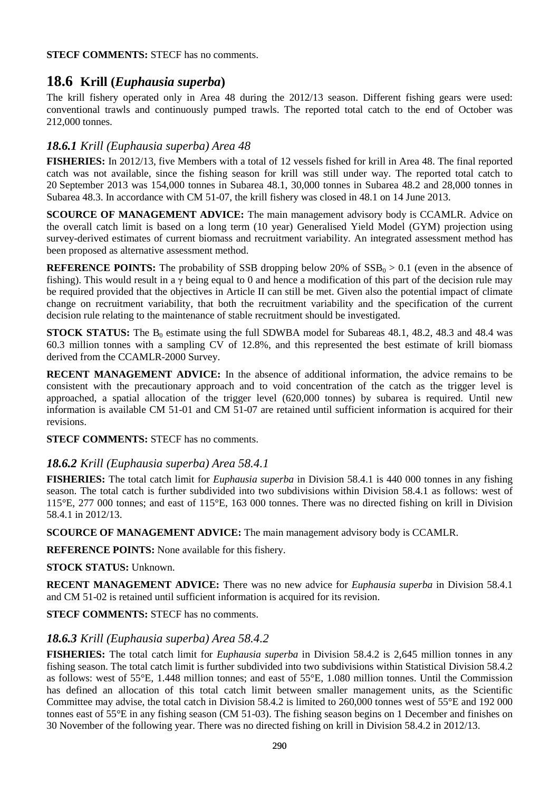**STECF COMMENTS:** STECF has no comments.

# **18.6 Krill (***Euphausia superba***)**

The krill fishery operated only in Area 48 during the 2012/13 season. Different fishing gears were used: conventional trawls and continuously pumped trawls. The reported total catch to the end of October was 212,000 tonnes.

## *18.6.1 Krill (Euphausia superba) Area 48*

**FISHERIES:** In 2012/13, five Members with a total of 12 vessels fished for krill in Area 48. The final reported catch was not available, since the fishing season for krill was still under way. The reported total catch to 20 September 2013 was 154,000 tonnes in Subarea 48.1, 30,000 tonnes in Subarea 48.2 and 28,000 tonnes in Subarea 48.3. In accordance with CM 51-07, the krill fishery was closed in 48.1 on 14 June 2013.

**SCOURCE OF MANAGEMENT ADVICE:** The main management advisory body is CCAMLR. Advice on the overall catch limit is based on a long term (10 year) Generalised Yield Model (GYM) projection using survey-derived estimates of current biomass and recruitment variability. An integrated assessment method has been proposed as alternative assessment method.

**REFERENCE POINTS:** The probability of SSB dropping below 20% of  $SSB<sub>0</sub> > 0.1$  (even in the absence of fishing). This would result in a  $\gamma$  being equal to 0 and hence a modification of this part of the decision rule may be required provided that the objectives in Article II can still be met. Given also the potential impact of climate change on recruitment variability, that both the recruitment variability and the specification of the current decision rule relating to the maintenance of stable recruitment should be investigated.

**STOCK STATUS:** The  $B_0$  estimate using the full SDWBA model for Subareas 48.1, 48.2, 48.3 and 48.4 was 60.3 million tonnes with a sampling CV of 12.8%, and this represented the best estimate of krill biomass derived from the CCAMLR-2000 Survey.

**RECENT MANAGEMENT ADVICE:** In the absence of additional information, the advice remains to be consistent with the precautionary approach and to void concentration of the catch as the trigger level is approached, a spatial allocation of the trigger level (620,000 tonnes) by subarea is required. Until new information is available CM 51-01 and CM 51-07 are retained until sufficient information is acquired for their revisions.

**STECF COMMENTS:** STECF has no comments.

### *18.6.2 Krill (Euphausia superba) Area 58.4.1*

**FISHERIES:** The total catch limit for *Euphausia superba* in Division 58.4.1 is 440 000 tonnes in any fishing season. The total catch is further subdivided into two subdivisions within Division 58.4.1 as follows: west of 115°E, 277 000 tonnes; and east of 115°E, 163 000 tonnes. There was no directed fishing on krill in Division 58.4.1 in 2012/13.

**SCOURCE OF MANAGEMENT ADVICE:** The main management advisory body is CCAMLR.

**REFERENCE POINTS:** None available for this fishery.

**STOCK STATUS:** Unknown.

**RECENT MANAGEMENT ADVICE:** There was no new advice for *Euphausia superba* in Division 58.4.1 and CM 51-02 is retained until sufficient information is acquired for its revision.

**STECF COMMENTS:** STECF has no comments.

## *18.6.3 Krill (Euphausia superba) Area 58.4.2*

**FISHERIES:** The total catch limit for *Euphausia superba* in Division 58.4.2 is 2,645 million tonnes in any fishing season. The total catch limit is further subdivided into two subdivisions within Statistical Division 58.4.2 as follows: west of 55°E, 1.448 million tonnes; and east of 55°E, 1.080 million tonnes. Until the Commission has defined an allocation of this total catch limit between smaller management units, as the Scientific Committee may advise, the total catch in Division 58.4.2 is limited to 260,000 tonnes west of 55°E and 192 000 tonnes east of 55°E in any fishing season (CM 51-03). The fishing season begins on 1 December and finishes on 30 November of the following year. There was no directed fishing on krill in Division 58.4.2 in 2012/13.